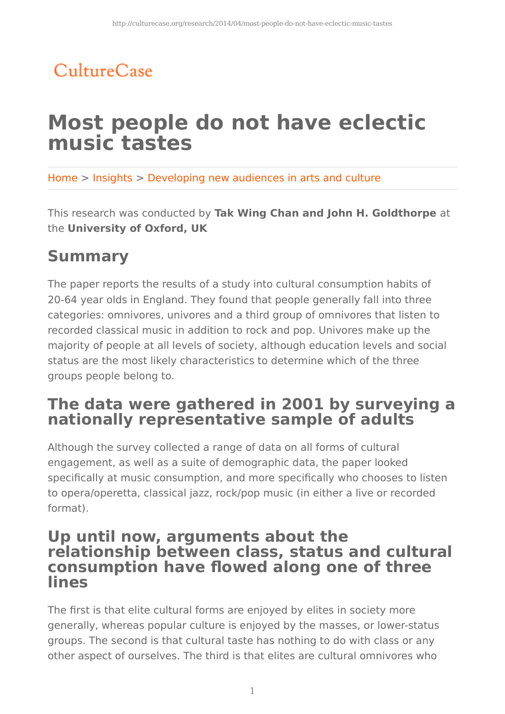# CultureCase

# **Most people do not have eclectic music tastes**

Home > Insights > Developing new audiences in arts and culture

This research was conducted by **Tak Wing Chan and John H. Goldthorpe** at the **University of Oxford, UK**

## **Summary**

The paper reports the results of a study into cultural consumption habits of 20-64 year olds in England. They found that people generally fall into three categories: omnivores, univores and a third group of omnivores that listen to recorded classical music in addition to rock and pop. Univores make up the majority of people at all levels of society, although education levels and social status are the most likely characteristics to determine which of the three groups people belong to.

## **The data were gathered in 2001 by surveying a nationally representative sample of adults**

Although the survey collected a range of data on all forms of cultural engagement, as well as a suite of demographic data, the paper looked specifically at music consumption, and more specifically who chooses to listen to opera/operetta, classical jazz, rock/pop music (in either a live or recorded format).

## **Up until now, arguments about the relationship between class, status and cultural consumption have flowed along one of three lines**

The first is that elite cultural forms are enjoyed by elites in society more generally, whereas popular culture is enjoyed by the masses, or lower-status groups. The second is that cultural taste has nothing to do with class or any other aspect of ourselves. The third is that elites are cultural omnivores who